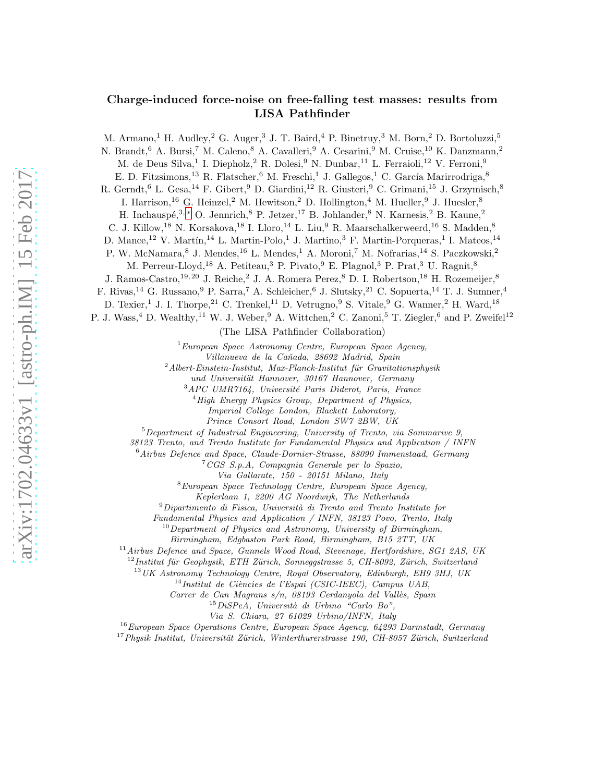## Charge-induced force-noise on free-falling test masses: results from LISA Pathfinder

M. Armano,<sup>1</sup> H. Audley,<sup>2</sup> G. Auger,<sup>3</sup> J. T. Baird,<sup>4</sup> P. Binetruy,<sup>3</sup> M. Born,<sup>2</sup> D. Bortoluzzi,<sup>5</sup>

N. Brandt, <sup>6</sup> A. Bursi, <sup>7</sup> M. Caleno, <sup>8</sup> A. Cavalleri, <sup>9</sup> A. Cesarini, <sup>9</sup> M. Cruise, <sup>10</sup> K. Danzmann, <sup>2</sup>

M. de Deus Silva,<sup>1</sup> I. Diepholz,<sup>2</sup> R. Dolesi,<sup>9</sup> N. Dunbar,<sup>11</sup> L. Ferraioli,<sup>12</sup> V. Ferroni,<sup>9</sup>

E. D. Fitzsimons, <sup>13</sup> R. Flatscher, <sup>6</sup> M. Freschi, <sup>1</sup> J. Gallegos, <sup>1</sup> C. García Marirrodriga, <sup>8</sup>

R. Gerndt, <sup>6</sup> L. Gesa, <sup>14</sup> F. Gibert, <sup>9</sup> D. Giardini, <sup>12</sup> R. Giusteri, <sup>9</sup> C. Grimani, <sup>15</sup> J. Grzymisch, <sup>8</sup>

I. Harrison,<sup>16</sup> G. Heinzel,<sup>2</sup> M. Hewitson,<sup>2</sup> D. Hollington,<sup>4</sup> M. Hueller,<sup>9</sup> J. Huesler,<sup>8</sup>

H. Inchauspé, 3, \* O. Jennrich,  $8$  P. Jetzer,  $17$  B. Johlander,  $8$  N. Karnesis,  $2$  B. Kaune,  $2$ 

C. J. Killow,<sup>18</sup> N. Korsakova,<sup>18</sup> I. Lloro,<sup>14</sup> L. Liu,<sup>9</sup> R. Maarschalkerweerd,<sup>16</sup> S. Madden,<sup>8</sup>

D. Mance,<sup>12</sup> V. Martín,<sup>14</sup> L. Martin-Polo,<sup>1</sup> J. Martino,<sup>3</sup> F. Martin-Porqueras,<sup>1</sup> I. Mateos,<sup>14</sup>

P. W. McNamara, <sup>8</sup> J. Mendes, <sup>16</sup> L. Mendes, <sup>1</sup> A. Moroni, <sup>7</sup> M. Nofrarias, <sup>14</sup> S. Paczkowski, <sup>2</sup>

M. Perreur-Lloyd,<sup>18</sup> A. Petiteau,<sup>3</sup> P. Pivato,<sup>9</sup> E. Plagnol,<sup>3</sup> P. Prat,<sup>3</sup> U. Ragnit,<sup>8</sup>

J. Ramos-Castro,<sup>19, 20</sup> J. Reiche,<sup>2</sup> J. A. Romera Perez,<sup>8</sup> D. I. Robertson,<sup>18</sup> H. Rozemeijer,<sup>8</sup>

F. Rivas, <sup>14</sup> G. Russano, <sup>9</sup> P. Sarra, <sup>7</sup> A. Schleicher, <sup>6</sup> J. Slutsky, <sup>21</sup> C. Sopuerta, <sup>14</sup> T. J. Sumner, <sup>4</sup>

D. Texier,<sup>1</sup> J. I. Thorpe,<sup>21</sup> C. Trenkel,<sup>11</sup> D. Vetrugno,<sup>9</sup> S. Vitale,<sup>9</sup> G. Wanner,<sup>2</sup> H. Ward,<sup>18</sup>

P. J. Wass,<sup>4</sup> D. Wealthy,<sup>11</sup> W. J. Weber,<sup>9</sup> A. Wittchen,<sup>2</sup> C. Zanoni,<sup>5</sup> T. Ziegler,<sup>6</sup> and P. Zweifel<sup>12</sup>

(The LISA Pathfinder Collaboration)

 ${}^{1}$ European Space Astronomy Centre, European Space Agency,

Villanueva de la Ca˜nada, 28692 Madrid, Spain

 $2$ Albert-Einstein-Institut, Max-Planck-Institut für Gravitationsphysik

und Universität Hannover, 30167 Hannover, Germany

 $^3 A P C$  UMR7164, Université Paris Diderot, Paris, France

 $4$ High Energy Physics Group, Department of Physics,

Imperial College London, Blackett Laboratory,

Prince Consort Road, London SW7 2BW, UK

 $5$ Department of Industrial Engineering, University of Trento, via Sommarive 9,

38123 Trento, and Trento Institute for Fundamental Physics and Application / INFN

 $6$ Airbus Defence and Space, Claude-Dornier-Strasse, 88090 Immenstaad, Germany

 ${}^{7}CGS$  S.p.A, Compagnia Generale per lo Spazio,

Via Gallarate, 150 - 20151 Milano, Italy

<sup>8</sup>European Space Technology Centre, European Space Agency,

Keplerlaan 1, 2200 AG Noordwijk, The Netherlands

 $9$ Dipartimento di Fisica, Università di Trento and Trento Institute for

Fundamental Physics and Application / INFN, 38123 Povo, Trento, Italy

 $10$ Department of Physics and Astronomy, University of Birmingham,

Birmingham, Edgbaston Park Road, Birmingham, B15 2TT, UK

 $11$ Airbus Defence and Space, Gunnels Wood Road, Stevenage, Hertfordshire, SG1 2AS, UK

 $12$ Institut für Geophysik, ETH Zürich, Sonneggstrasse 5, CH-8092, Zürich, Switzerland

<sup>13</sup>UK Astronomy Technology Centre, Royal Observatory, Edinburgh, EH9 3HJ, UK

 $^{14}$ Institut de Ciències de l'Espai (CSIC-IEEC), Campus UAB,

Carrer de Can Magrans  $s/n$ , 08193 Cerdanyola del Vallès, Spain

 $15$ DiSPeA, Università di Urbino "Carlo Bo",

Via S. Chiara, 27 61029 Urbino/INFN, Italy

<sup>16</sup> European Space Operations Centre, European Space Agency, 64293 Darmstadt, Germany

 $17$ Physik Institut, Universität Zürich, Winterthurerstrasse 190, CH-8057 Zürich, Switzerland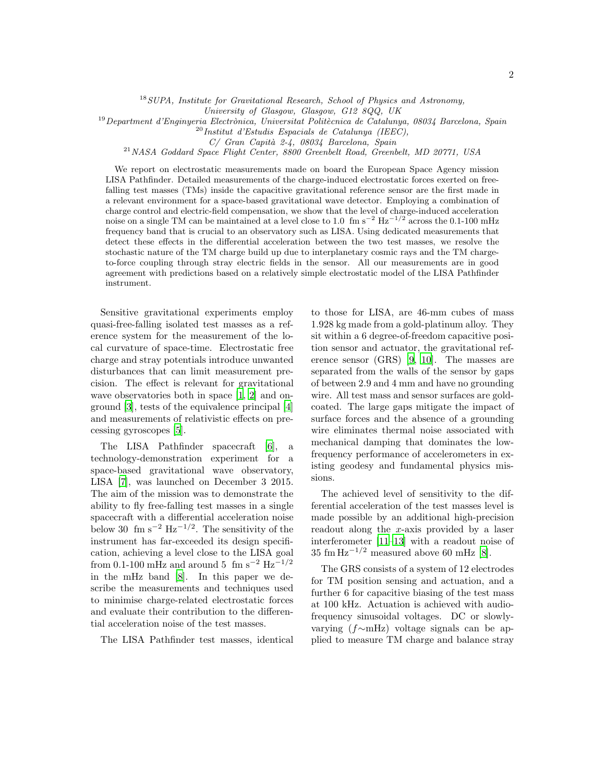$18$  SUPA, Institute for Gravitational Research, School of Physics and Astronomy,

University of Glasgow, Glasgow, G12 8QQ, UK

 $^{19}$ Department d'Enginyeria Electrònica, Universitat Politècnica de Catalunya, 08034 Barcelona, Spain

 $^{20}$ Institut d'Estudis Espacials de Catalunya (IEEC),

 $C/$  Gran Capità 2-4, 08034 Barcelona, Spain

<sup>21</sup>NASA Goddard Space Flight Center, 8800 Greenbelt Road, Greenbelt, MD 20771, USA

We report on electrostatic measurements made on board the European Space Agency mission LISA Pathfinder. Detailed measurements of the charge-induced electrostatic forces exerted on freefalling test masses (TMs) inside the capacitive gravitational reference sensor are the first made in a relevant environment for a space-based gravitational wave detector. Employing a combination of charge control and electric-field compensation, we show that the level of charge-induced acceleration noise on a single TM can be maintained at a level close to 1.0 fm s<sup>-2</sup> Hz<sup>-1/2</sup> across the 0.1-100 mHz frequency band that is crucial to an observatory such as LISA. Using dedicated measurements that detect these effects in the differential acceleration between the two test masses, we resolve the stochastic nature of the TM charge build up due to interplanetary cosmic rays and the TM chargeto-force coupling through stray electric fields in the sensor. All our measurements are in good agreement with predictions based on a relatively simple electrostatic model of the LISA Pathfinder instrument.

Sensitive gravitational experiments employ quasi-free-falling isolated test masses as a reference system for the measurement of the local curvature of space-time. Electrostatic free charge and stray potentials introduce unwanted disturbances that can limit measurement precision. The effect is relevant for gravitational wave observatories both in space [\[1](#page-7-1), [2\]](#page-7-2) and onground [\[3](#page-7-3)], tests of the equivalence principal [\[4](#page-7-4)] and measurements of relativistic effects on precessing gyroscopes [\[5\]](#page-7-5).

The LISA Pathfinder spacecraft [\[6\]](#page-7-6), a technology-demonstration experiment for a space-based gravitational wave observatory, LISA [\[7](#page-7-7)], was launched on December 3 2015. The aim of the mission was to demonstrate the ability to fly free-falling test masses in a single spacecraft with a differential acceleration noise below 30 fm s<sup>-2</sup> Hz<sup>-1/2</sup>. The sensitivity of the instrument has far-exceeded its design specification, achieving a level close to the LISA goal from 0.1-100 mHz and around 5 fm s<sup>-2</sup> Hz<sup>-1/2</sup> in the mHz band [\[8\]](#page-7-8). In this paper we describe the measurements and techniques used to minimise charge-related electrostatic forces and evaluate their contribution to the differential acceleration noise of the test masses.

The LISA Pathfinder test masses, identical

to those for LISA, are 46-mm cubes of mass 1.928 kg made from a gold-platinum alloy. They sit within a 6 degree-of-freedom capacitive position sensor and actuator, the gravitational reference sensor (GRS) [\[9](#page-7-9), [10\]](#page-7-10). The masses are separated from the walls of the sensor by gaps of between 2.9 and 4 mm and have no grounding wire. All test mass and sensor surfaces are goldcoated. The large gaps mitigate the impact of surface forces and the absence of a grounding wire eliminates thermal noise associated with mechanical damping that dominates the lowfrequency performance of accelerometers in existing geodesy and fundamental physics missions.

The achieved level of sensitivity to the differential acceleration of the test masses level is made possible by an additional high-precision readout along the x-axis provided by a laser interferometer [\[11](#page-7-11)[–13\]](#page-7-12) with a readout noise of  $35 \text{ fm Hz}^{-1/2}$  measured above 60 mHz [\[8](#page-7-8)].

The GRS consists of a system of 12 electrodes for TM position sensing and actuation, and a further 6 for capacitive biasing of the test mass at 100 kHz. Actuation is achieved with audiofrequency sinusoidal voltages. DC or slowlyvarying (f∼mHz) voltage signals can be applied to measure TM charge and balance stray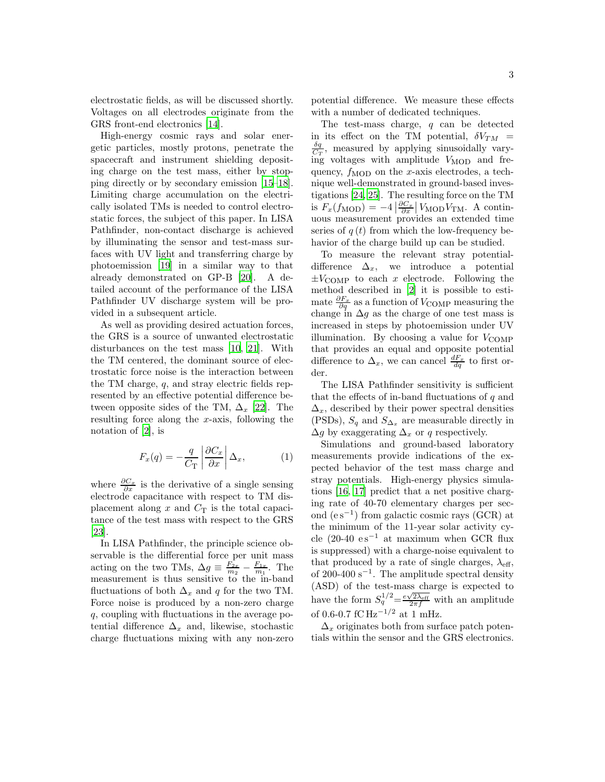electrostatic fields, as will be discussed shortly. Voltages on all electrodes originate from the GRS front-end electronics [\[14\]](#page-7-13).

High-energy cosmic rays and solar energetic particles, mostly protons, penetrate the spacecraft and instrument shielding depositing charge on the test mass, either by stopping directly or by secondary emission [\[15](#page-7-14)[–18\]](#page-7-15). Limiting charge accumulation on the electrically isolated TMs is needed to control electrostatic forces, the subject of this paper. In LISA Pathfinder, non-contact discharge is achieved by illuminating the sensor and test-mass surfaces with UV light and transferring charge by photoemission [\[19](#page-7-16)] in a similar way to that already demonstrated on GP-B [\[20\]](#page-7-17). A detailed account of the performance of the LISA Pathfinder UV discharge system will be provided in a subsequent article.

As well as providing desired actuation forces, the GRS is a source of unwanted electrostatic disturbances on the test mass [\[10,](#page-7-10) [21\]](#page-7-18). With the TM centered, the dominant source of electrostatic force noise is the interaction between the TM charge, q, and stray electric fields represented by an effective potential difference between opposite sides of the TM,  $\Delta_x$  [\[22](#page-7-19)]. The resulting force along the x-axis, following the notation of [\[2\]](#page-7-2), is

<span id="page-2-0"></span>
$$
F_x(q) = -\frac{q}{C_{\rm T}} \left| \frac{\partial C_x}{\partial x} \right| \Delta_x, \tag{1}
$$

where  $\frac{\partial C_x}{\partial x}$  is the derivative of a single sensing electrode capacitance with respect to TM displacement along x and  $C_T$  is the total capacitance of the test mass with respect to the GRS [\[23\]](#page-7-20).

In LISA Pathfinder, the principle science observable is the differential force per unit mass acting on the two TMs,  $\Delta g \equiv \frac{F_{2x}}{m_2} - \frac{F_{1x}}{m_1}$ . The measurement is thus sensitive to the in-band fluctuations of both  $\Delta_x$  and q for the two TM. Force noise is produced by a non-zero charge q, coupling with fluctuations in the average potential difference  $\Delta_x$  and, likewise, stochastic charge fluctuations mixing with any non-zero potential difference. We measure these effects with a number of dedicated techniques.

The test-mass charge, q can be detected in its effect on the TM potential,  $\delta V_{TM}$  =  $\frac{\delta q}{C_T}$ , measured by applying sinusoidally varying voltages with amplitude  $V_{\text{MOD}}$  and frequency,  $f_{\text{MOD}}$  on the x-axis electrodes, a technique well-demonstrated in ground-based investigations [\[24,](#page-7-21) [25\]](#page-8-0). The resulting force on the TM is  $F_x(f_{\text{MOD}}) = -4 \left| \frac{\partial C_x}{\partial x} \right| V_{\text{MOD}} V_{\text{TM}}$ . A continuous measurement provides an extended time series of  $q(t)$  from which the low-frequency behavior of the charge build up can be studied.

To measure the relevant stray potentialdifference  $\Delta_x$ , we introduce a potential  $\pm V_{\text{COMP}}$  to each x electrode. Following the method described in [\[2](#page-7-2)] it is possible to estimate  $\frac{\partial F_x}{\partial q}$  as a function of  $V_{\text{COMP}}$  measuring the change in  $\Delta g$  as the charge of one test mass is increased in steps by photoemission under UV illumination. By choosing a value for  $V_{\text{COMP}}$ that provides an equal and opposite potential difference to  $\Delta_x$ , we can cancel  $\frac{dF_x}{dq}$  to first order.

The LISA Pathfinder sensitivity is sufficient that the effects of in-band fluctuations of  $q$  and  $\Delta_{x}$ , described by their power spectral densities (PSDs),  $S_q$  and  $S_{\Delta_x}$  are measurable directly in  $\Delta g$  by exaggerating  $\Delta_x$  or q respectively.

Simulations and ground-based laboratory measurements provide indications of the expected behavior of the test mass charge and stray potentials. High-energy physics simulations [\[16](#page-7-22), [17\]](#page-7-23) predict that a net positive charging rate of 40-70 elementary charges per second (e s−<sup>1</sup> ) from galactic cosmic rays (GCR) at the minimum of the 11-year solar activity cycle (20-40  $es^{-1}$  at maximum when GCR flux is suppressed) with a charge-noise equivalent to that produced by a rate of single charges,  $\lambda_{\text{eff}}$ , of 200-400 s<sup>-1</sup>. The amplitude spectral density (ASD) of the test-mass charge is expected to have the form  $S_q^{1/2} = \frac{e\sqrt{2\lambda_{\text{eff}}}}{2\pi f}$  with an amplitude of 0.6-0.7 fC  $\rm Hz^{-1/2}$  at 1 mHz.

 $\Delta_x$  originates both from surface patch potentials within the sensor and the GRS electronics.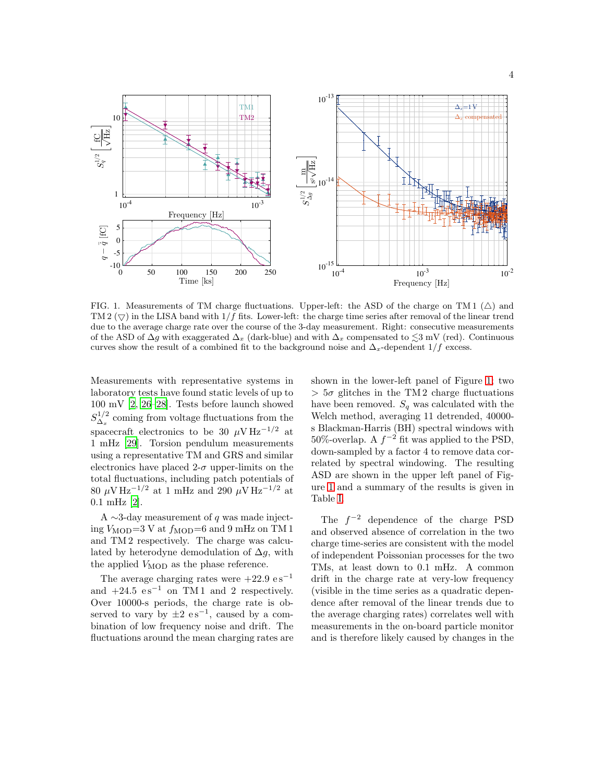

<span id="page-3-0"></span>FIG. 1. Measurements of TM charge fluctuations. Upper-left: the ASD of the charge on TM 1  $(\triangle)$  and TM 2  $(\nabla)$  in the LISA band with 1/f fits. Lower-left: the charge time series after removal of the linear trend due to the average charge rate over the course of the 3-day measurement. Right: consecutive measurements of the ASD of  $\Delta g$  with exaggerated  $\Delta_x$  (dark-blue) and with  $\Delta_x$  compensated to  $\lesssim$ 3 mV (red). Continuous curves show the result of a combined fit to the background noise and  $\Delta_x$ -dependent 1/f excess.

Measurements with representative systems in laboratory tests have found static levels of up to 100 mV [\[2](#page-7-2), [26](#page-8-1)[–28](#page-8-2)]. Tests before launch showed  $S^{1/2}_{\Delta}$  $\Delta_x^{1/2}$  coming from voltage fluctuations from the spacecraft electronics to be 30  $\mu$ V Hz<sup>-1/2</sup> at 1 mHz [\[29](#page-8-3)]. Torsion pendulum measurements using a representative TM and GRS and similar electronics have placed  $2-\sigma$  upper-limits on the total fluctuations, including patch potentials of 80  $\mu$ V Hz<sup>-1/2</sup> at 1 mHz and 290  $\mu$ V Hz<sup>-1/2</sup> at 0.1 mHz [\[2](#page-7-2)].

A ∼3-day measurement of  $q$  was made injecting  $V_{\text{MOD}}=3$  V at  $f_{\text{MOD}}=6$  and 9 mHz on TM 1 and TM 2 respectively. The charge was calculated by heterodyne demodulation of  $\Delta g$ , with the applied  $V_{\text{MOD}}$  as the phase reference.

The average charging rates were  $+22.9 \text{ es}^{-1}$ and  $+24.5$  es<sup>-1</sup> on TM1 and 2 respectively. Over 10000-s periods, the charge rate is observed to vary by  $\pm 2$  es<sup>-1</sup>, caused by a combination of low frequency noise and drift. The fluctuations around the mean charging rates are shown in the lower-left panel of Figure [1;](#page-3-0) two  $> 5\sigma$  glitches in the TM 2 charge fluctuations have been removed.  $S_q$  was calculated with the Welch method, averaging 11 detrended, 40000 s Blackman-Harris (BH) spectral windows with 50%-overlap. A  $f^{-2}$  fit was applied to the PSD, down-sampled by a factor 4 to remove data correlated by spectral windowing. The resulting ASD are shown in the upper left panel of Figure [1](#page-3-0) and a summary of the results is given in Table [I.](#page-4-0)

The  $f^{-2}$  dependence of the charge PSD and observed absence of correlation in the two charge time-series are consistent with the model of independent Poissonian processes for the two TMs, at least down to 0.1 mHz. A common drift in the charge rate at very-low frequency (visible in the time series as a quadratic dependence after removal of the linear trends due to the average charging rates) correlates well with measurements in the on-board particle monitor and is therefore likely caused by changes in the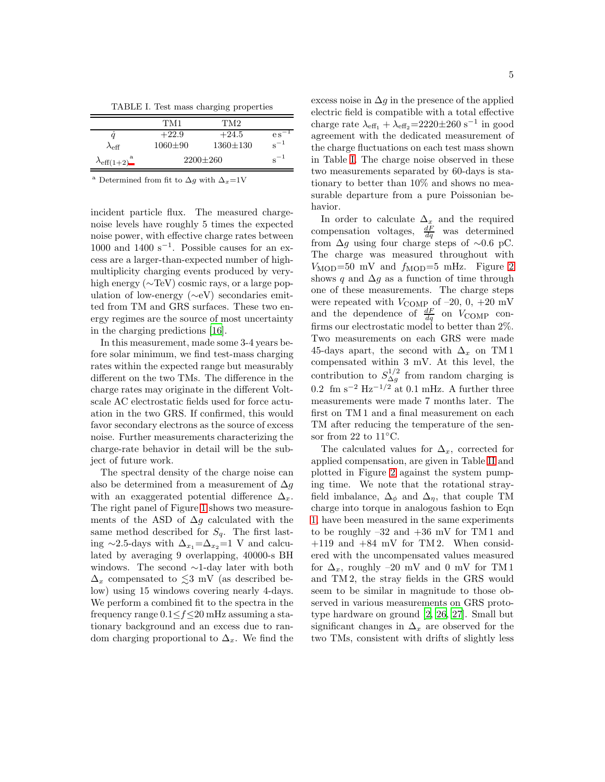<span id="page-4-0"></span>TABLE I. Test mass charging properties

|                             | TM1            | TM2            |                 |
|-----------------------------|----------------|----------------|-----------------|
|                             | $+22.9$        | $+24.5$        | $\rm e\,s^{-1}$ |
| $\lambda_{\text{eff}}$      | $1060 + 90$    | $1360 \pm 130$ | $s^{-1}$        |
| $\lambda_{\text{eff}(1+2)}$ | $2200 \pm 260$ |                | $s^{-1}$        |

<span id="page-4-1"></span><sup>a</sup> Determined from fit to  $\Delta g$  with  $\Delta_x=1$ V

incident particle flux. The measured chargenoise levels have roughly 5 times the expected noise power, with effective charge rates between 1000 and 1400  $s^{-1}$ . Possible causes for an excess are a larger-than-expected number of highmultiplicity charging events produced by veryhigh energy (∼TeV) cosmic rays, or a large population of low-energy (∼eV) secondaries emitted from TM and GRS surfaces. These two energy regimes are the source of most uncertainty in the charging predictions [\[16\]](#page-7-22).

In this measurement, made some 3-4 years before solar minimum, we find test-mass charging rates within the expected range but measurably different on the two TMs. The difference in the charge rates may originate in the different Voltscale AC electrostatic fields used for force actuation in the two GRS. If confirmed, this would favor secondary electrons as the source of excess noise. Further measurements characterizing the charge-rate behavior in detail will be the subject of future work.

The spectral density of the charge noise can also be determined from a measurement of  $\Delta g$ with an exaggerated potential difference  $\Delta_x$ . The right panel of Figure [1](#page-3-0) shows two measurements of the ASD of  $\Delta g$  calculated with the same method described for  $S_q$ . The first lasting ∼2.5-days with  $\Delta_{x_1}=\Delta_{x_2}=1$  V and calculated by averaging 9 overlapping, 40000-s BH windows. The second ∼1-day later with both  $\Delta_x$  compensated to  $\lesssim$ 3 mV (as described below) using 15 windows covering nearly 4-days. We perform a combined fit to the spectra in the frequency range  $0.1 \le f \le 20$  mHz assuming a stationary background and an excess due to random charging proportional to  $\Delta_x$ . We find the excess noise in  $\Delta g$  in the presence of the applied electric field is compatible with a total effective charge rate  $\lambda_{\text{eff}_1} + \lambda_{\text{eff}_2} = 2220 \pm 260 \text{ s}^{-1}$  in good agreement with the dedicated measurement of the charge fluctuations on each test mass shown in Table [I.](#page-4-0) The charge noise observed in these two measurements separated by 60-days is stationary to better than 10% and shows no measurable departure from a pure Poissonian behavior.

In order to calculate  $\Delta_x$  and the required compensation voltages,  $\frac{dF}{dq}$  was determined from  $\Delta g$  using four charge steps of ~0.6 pC. The charge was measured throughout with  $V_{\text{MOD}}=50$  mV and  $f_{\text{MOD}}=5$  mHz. Figure [2](#page-5-0) shows q and  $\Delta g$  as a function of time through one of these measurements. The charge steps were repeated with  $V_{\text{COMP}}$  of  $-20$ , 0,  $+20$  mV and the dependence of  $\frac{dF}{dq}$  on  $V_{\text{COMP}}$  confirms our electrostatic model to better than 2%. Two measurements on each GRS were made 45-days apart, the second with  $\Delta_x$  on TM 1 compensated within 3 mV. At this level, the contribution to  $S_{\Delta q}^{1/2}$  $\Delta_g^{1/2}$  from random charging is  $0.2 \text{ fm s}^{-2} \text{ Hz}^{-1/2} \text{ at } 0.1 \text{ mHz}$ . A further three measurements were made 7 months later. The first on TM 1 and a final measurement on each TM after reducing the temperature of the sensor from 22 to 11◦C.

The calculated values for  $\Delta_x$ , corrected for applied compensation, are given in Table [II](#page-5-1) and plotted in Figure [2](#page-5-0) against the system pumping time. We note that the rotational strayfield imbalance,  $\Delta_{\phi}$  and  $\Delta_{\eta}$ , that couple TM charge into torque in analogous fashion to Eqn [1,](#page-2-0) have been measured in the same experiments to be roughly  $-32$  and  $+36$  mV for TM 1 and  $+119$  and  $+84$  mV for TM 2. When considered with the uncompensated values measured for  $\Delta_x$ , roughly –20 mV and 0 mV for TM 1 and TM 2, the stray fields in the GRS would seem to be similar in magnitude to those observed in various measurements on GRS prototype hardware on ground [\[2,](#page-7-2) [26,](#page-8-1) [27\]](#page-8-4). Small but significant changes in  $\Delta_x$  are observed for the two TMs, consistent with drifts of slightly less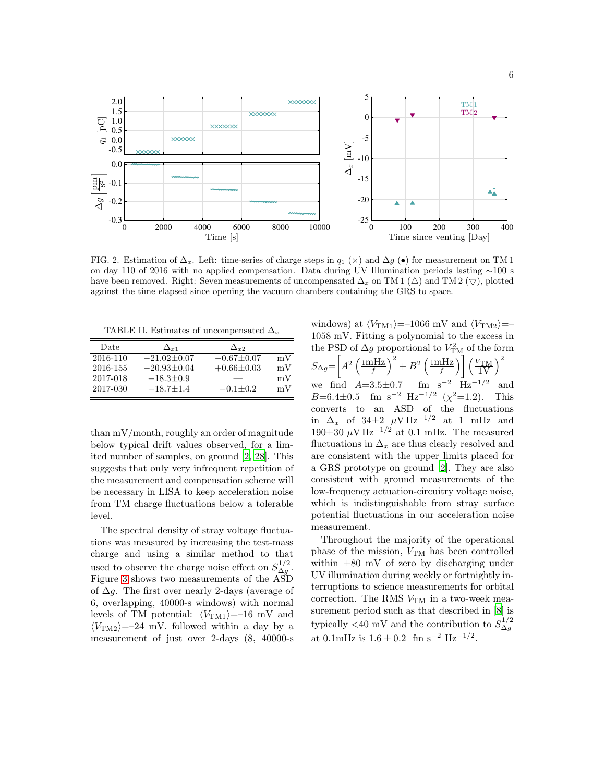

<span id="page-5-0"></span>FIG. 2. Estimation of  $\Delta_x$ . Left: time-series of charge steps in  $q_1(\times)$  and  $\Delta g(\bullet)$  for measurement on TM 1 on day 110 of 2016 with no applied compensation. Data during UV Illumination periods lasting ∼100 s have been removed. Right: Seven measurements of uncompensated  $\Delta_x$  on TM 1 ( $\Delta$ ) and TM 2 ( $\bigtriangledown$ ), plotted against the time elapsed since opening the vacuum chambers containing the GRS to space.

<span id="page-5-1"></span>TABLE II. Estimates of uncompensated  $\Delta_x$ 

| Date     | $\Delta_{x1}$     | $\Delta_{r2}$    |    |
|----------|-------------------|------------------|----|
| 2016-110 | $-21.02 \pm 0.07$ | $-0.67 \pm 0.07$ | mV |
| 2016-155 | $-20.93 + 0.04$   | $+0.66\pm0.03$   | mV |
| 2017-018 | $-18.3 \pm 0.9$   |                  | mV |
| 2017-030 | $-18.7 + 1.4$     | $-0.1 + 0.2$     | mV |

than mV/month, roughly an order of magnitude below typical drift values observed, for a limited number of samples, on ground [\[2](#page-7-2), [28\]](#page-8-2). This suggests that only very infrequent repetition of the measurement and compensation scheme will be necessary in LISA to keep acceleration noise from TM charge fluctuations below a tolerable level.

The spectral density of stray voltage fluctuations was measured by increasing the test-mass charge and using a similar method to that used to observe the charge noise effect on  $S_{\Delta q}^{1/2}$  $\overset{1/2}{\Delta g}$ . Figure [3](#page-6-0) shows two measurements of the ASD of  $\Delta g$ . The first over nearly 2-days (average of 6, overlapping, 40000-s windows) with normal levels of TM potential:  $\langle V_{\text{TM1}}\rangle=-16$  mV and  $\langle V_{\text{TM2}}\rangle = -24$  mV. followed within a day by a measurement of just over 2-days (8, 40000-s windows) at  $\langle V_{\text{TM1}}\rangle$ =–1066 mV and  $\langle V_{\text{TM2}}\rangle$ =– 1058 mV. Fitting a polynomial to the excess in the PSD of  $\Delta g$  proportional to  $V_{\text{TM}}^2$  of the form  $S_{\Delta g} = \left[ A^2 \left( \frac{\text{mHz}}{f} \right)^2 + B^2 \left( \frac{\text{mHz}}{f} \right) \right] \left( \frac{V_{\text{TM}}}{1 \text{V}} \right)^2$ we find  $A=3.5\pm0.7$  fm s<sup>-2</sup> Hz<sup>-1/2</sup> and B=6.4 $\pm$ 0.5 fm s<sup>-2</sup> Hz<sup>-1/2</sup> ( $\chi$ <sup>2</sup>=1.2). This converts to an ASD of the fluctuations in  $\Delta_x$  of 34 $\pm 2$   $\mu$ V Hz<sup>-1/2</sup> at 1 mHz and  $190\pm30 \mu \text{V Hz}^{-1/2}$  at 0.1 mHz. The measured fluctuations in  $\Delta_x$  are thus clearly resolved and are consistent with the upper limits placed for a GRS prototype on ground [\[2\]](#page-7-2). They are also consistent with ground measurements of the low-frequency actuation-circuitry voltage noise, which is indistinguishable from stray surface potential fluctuations in our acceleration noise measurement.

Throughout the majority of the operational phase of the mission,  $V_{\text{TM}}$  has been controlled within ±80 mV of zero by discharging under UV illumination during weekly or fortnightly interruptions to science measurements for orbital correction. The RMS  $V_{TM}$  in a two-week measurement period such as that described in [\[8\]](#page-7-8) is typically  $\langle 40 \text{ mV} \rangle$  and the contribution to  $S_{\Delta g}^{1/2}$  $\Delta g$ at 0.1mHz is  $1.6 \pm 0.2$  fm s<sup>-2</sup> Hz<sup>-1/2</sup>.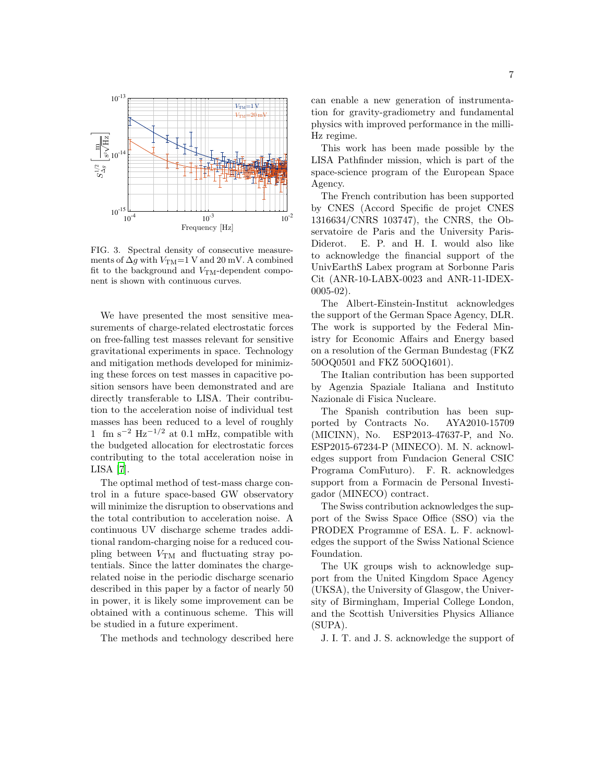

<span id="page-6-0"></span>FIG. 3. Spectral density of consecutive measurements of  $\Delta g$  with  $V_{\rm TM}\text{=}1$  V and 20 mV. A combined fit to the background and  $V<sub>TM</sub>$ -dependent component is shown with continuous curves.

We have presented the most sensitive measurements of charge-related electrostatic forces on free-falling test masses relevant for sensitive gravitational experiments in space. Technology and mitigation methods developed for minimizing these forces on test masses in capacitive position sensors have been demonstrated and are directly transferable to LISA. Their contribution to the acceleration noise of individual test masses has been reduced to a level of roughly 1 fm s<sup>-2</sup> Hz<sup>-1/2</sup> at 0.1 mHz, compatible with the budgeted allocation for electrostatic forces contributing to the total acceleration noise in LISA [\[7\]](#page-7-7).

The optimal method of test-mass charge control in a future space-based GW observatory will minimize the disruption to observations and the total contribution to acceleration noise. A continuous UV discharge scheme trades additional random-charging noise for a reduced coupling between  $V_{\text{TM}}$  and fluctuating stray potentials. Since the latter dominates the chargerelated noise in the periodic discharge scenario described in this paper by a factor of nearly 50 in power, it is likely some improvement can be obtained with a continuous scheme. This will be studied in a future experiment.

The methods and technology described here

can enable a new generation of instrumentation for gravity-gradiometry and fundamental physics with improved performance in the milli-Hz regime.

This work has been made possible by the LISA Pathfinder mission, which is part of the space-science program of the European Space Agency.

The French contribution has been supported by CNES (Accord Specific de projet CNES 1316634/CNRS 103747), the CNRS, the Observatoire de Paris and the University Paris-Diderot. E. P. and H. I. would also like to acknowledge the financial support of the UnivEarthS Labex program at Sorbonne Paris Cit (ANR-10-LABX-0023 and ANR-11-IDEX-0005-02).

The Albert-Einstein-Institut acknowledges the support of the German Space Agency, DLR. The work is supported by the Federal Ministry for Economic Affairs and Energy based on a resolution of the German Bundestag (FKZ 50OQ0501 and FKZ 50OQ1601).

The Italian contribution has been supported by Agenzia Spaziale Italiana and Instituto Nazionale di Fisica Nucleare.

The Spanish contribution has been supported by Contracts No. AYA2010-15709 (MICINN), No. ESP2013-47637-P, and No. ESP2015-67234-P (MINECO). M. N. acknowledges support from Fundacion General CSIC Programa ComFuturo). F. R. acknowledges support from a Formacin de Personal Investigador (MINECO) contract.

The Swiss contribution acknowledges the support of the Swiss Space Office (SSO) via the PRODEX Programme of ESA. L. F. acknowledges the support of the Swiss National Science Foundation.

The UK groups wish to acknowledge support from the United Kingdom Space Agency (UKSA), the University of Glasgow, the University of Birmingham, Imperial College London, and the Scottish Universities Physics Alliance (SUPA).

J. I. T. and J. S. acknowledge the support of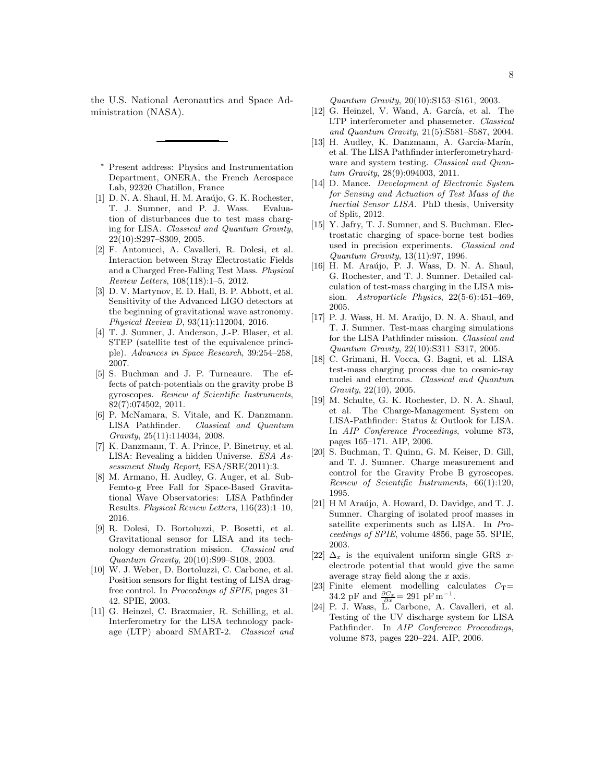the U.S. National Aeronautics and Space Administration (NASA).

- <span id="page-7-0"></span>Present address: Physics and Instrumentation Department, ONERA, the French Aerospace Lab, 92320 Chatillon, France
- <span id="page-7-1"></span>[1] D. N. A. Shaul, H. M. Araújo, G. K. Rochester, T. J. Sumner, and P. J. Wass. Evaluation of disturbances due to test mass charging for LISA. Classical and Quantum Gravity, 22(10):S297–S309, 2005.
- <span id="page-7-2"></span>[2] F. Antonucci, A. Cavalleri, R. Dolesi, et al. Interaction between Stray Electrostatic Fields and a Charged Free-Falling Test Mass. Physical Review Letters, 108(118):1–5, 2012.
- <span id="page-7-3"></span>[3] D. V. Martynov, E. D. Hall, B. P. Abbott, et al. Sensitivity of the Advanced LIGO detectors at the beginning of gravitational wave astronomy. Physical Review D, 93(11):112004, 2016.
- <span id="page-7-4"></span>[4] T. J. Sumner, J. Anderson, J.-P. Blaser, et al. STEP (satellite test of the equivalence principle). Advances in Space Research, 39:254–258, 2007.
- <span id="page-7-5"></span>[5] S. Buchman and J. P. Turneaure. The effects of patch-potentials on the gravity probe B gyroscopes. Review of Scientific Instruments, 82(7):074502, 2011.
- <span id="page-7-6"></span>[6] P. McNamara, S. Vitale, and K. Danzmann. LISA Pathfinder. Classical and Quantum Gravity, 25(11):114034, 2008.
- <span id="page-7-7"></span>[7] K. Danzmann, T. A. Prince, P. Binetruy, et al. LISA: Revealing a hidden Universe. ESA Assessment Study Report, ESA/SRE(2011):3.
- <span id="page-7-8"></span>[8] M. Armano, H. Audley, G. Auger, et al. Sub-Femto-g Free Fall for Space-Based Gravitational Wave Observatories: LISA Pathfinder Results. Physical Review Letters, 116(23):1–10, 2016.
- <span id="page-7-9"></span>[9] R. Dolesi, D. Bortoluzzi, P. Bosetti, et al. Gravitational sensor for LISA and its technology demonstration mission. Classical and Quantum Gravity, 20(10):S99–S108, 2003.
- <span id="page-7-10"></span>[10] W. J. Weber, D. Bortoluzzi, C. Carbone, et al. Position sensors for flight testing of LISA dragfree control. In Proceedings of SPIE, pages 31– 42. SPIE, 2003.
- <span id="page-7-11"></span>[11] G. Heinzel, C. Braxmaier, R. Schilling, et al. Interferometry for the LISA technology package (LTP) aboard SMART-2. Classical and

Quantum Gravity, 20(10):S153–S161, 2003.

- $[12]$  G. Heinzel, V. Wand, A. García, et al. The LTP interferometer and phasemeter. Classical and Quantum Gravity, 21(5):S581–S587, 2004.
- <span id="page-7-12"></span>[13] H. Audley, K. Danzmann, A. García-Marín, et al. The LISA Pathfinder interferometryhardware and system testing. Classical and Quantum Gravity, 28(9):094003, 2011.
- <span id="page-7-13"></span>[14] D. Mance. Development of Electronic System for Sensing and Actuation of Test Mass of the Inertial Sensor LISA. PhD thesis, University of Split, 2012.
- <span id="page-7-14"></span>[15] Y. Jafry, T. J. Sumner, and S. Buchman. Electrostatic charging of space-borne test bodies used in precision experiments. Classical and Quantum Gravity, 13(11):97, 1996.
- <span id="page-7-22"></span>[16] H. M. Araújo, P. J. Wass, D. N. A. Shaul, G. Rochester, and T. J. Sumner. Detailed calculation of test-mass charging in the LISA mission. Astroparticle Physics, 22(5-6):451–469, 2005.
- <span id="page-7-23"></span>[17] P. J. Wass, H. M. Araújo, D. N. A. Shaul, and T. J. Sumner. Test-mass charging simulations for the LISA Pathfinder mission. Classical and Quantum Gravity, 22(10):S311–S317, 2005.
- <span id="page-7-15"></span>[18] C. Grimani, H. Vocca, G. Bagni, et al. LISA test-mass charging process due to cosmic-ray nuclei and electrons. Classical and Quantum Gravity, 22(10), 2005.
- <span id="page-7-16"></span>[19] M. Schulte, G. K. Rochester, D. N. A. Shaul, et al. The Charge-Management System on LISA-Pathfinder: Status & Outlook for LISA. In AIP Conference Proceedings, volume 873, pages 165–171. AIP, 2006.
- <span id="page-7-17"></span>[20] S. Buchman, T. Quinn, G. M. Keiser, D. Gill, and T. J. Sumner. Charge measurement and control for the Gravity Probe B gyroscopes. Review of Scientific Instruments, 66(1):120, 1995.
- <span id="page-7-18"></span>[21] H M Araújo, A. Howard, D. Davidge, and T. J. Sumner. Charging of isolated proof masses in satellite experiments such as LISA. In Proceedings of SPIE, volume 4856, page 55. SPIE, 2003.
- <span id="page-7-19"></span>[22]  $\Delta_x$  is the equivalent uniform single GRS xelectrode potential that would give the same average stray field along the x axis.
- <span id="page-7-20"></span>[23] Finite element modelling calculates  $C_T=$ 34.2 pF and  $\frac{\partial C_x}{\partial x} = 291 \text{ pF m}^{-1}$ .
- <span id="page-7-21"></span>[24] P. J. Wass, L. Carbone, A. Cavalleri, et al. Testing of the UV discharge system for LISA Pathfinder. In AIP Conference Proceedings, volume 873, pages 220–224. AIP, 2006.